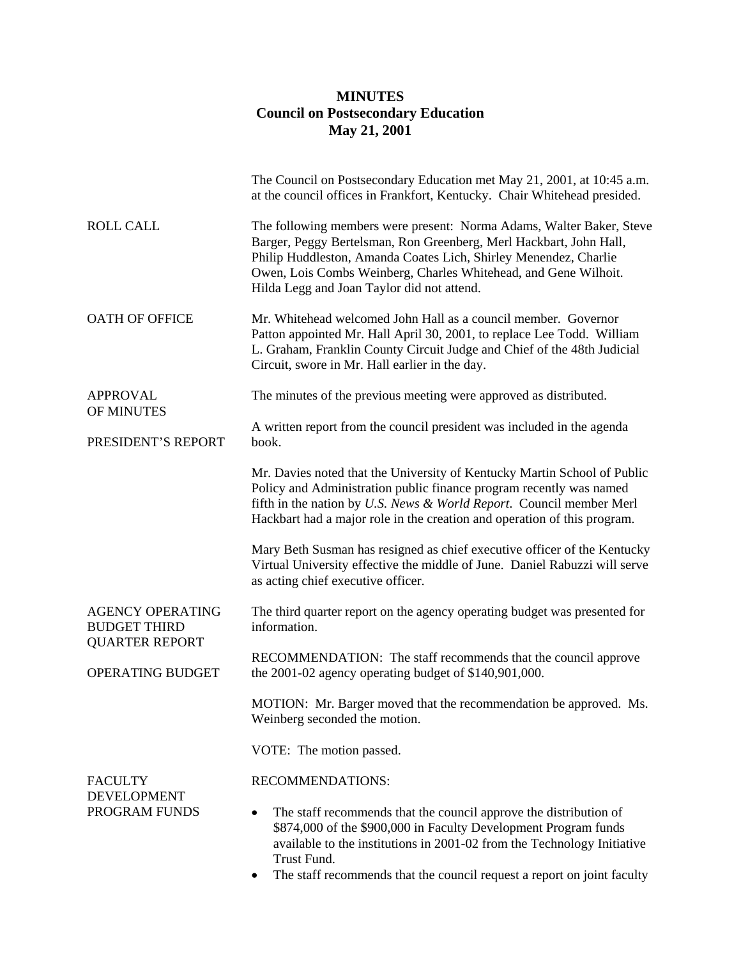## **MINUTES Council on Postsecondary Education May 21, 2001**

|                                                                         | The Council on Postsecondary Education met May 21, 2001, at 10:45 a.m.<br>at the council offices in Frankfort, Kentucky. Chair Whitehead presided.                                                                                                                                                                              |
|-------------------------------------------------------------------------|---------------------------------------------------------------------------------------------------------------------------------------------------------------------------------------------------------------------------------------------------------------------------------------------------------------------------------|
| <b>ROLL CALL</b>                                                        | The following members were present: Norma Adams, Walter Baker, Steve<br>Barger, Peggy Bertelsman, Ron Greenberg, Merl Hackbart, John Hall,<br>Philip Huddleston, Amanda Coates Lich, Shirley Menendez, Charlie<br>Owen, Lois Combs Weinberg, Charles Whitehead, and Gene Wilhoit.<br>Hilda Legg and Joan Taylor did not attend. |
| <b>OATH OF OFFICE</b>                                                   | Mr. Whitehead welcomed John Hall as a council member. Governor<br>Patton appointed Mr. Hall April 30, 2001, to replace Lee Todd. William<br>L. Graham, Franklin County Circuit Judge and Chief of the 48th Judicial<br>Circuit, swore in Mr. Hall earlier in the day.                                                           |
| <b>APPROVAL</b><br>OF MINUTES                                           | The minutes of the previous meeting were approved as distributed.                                                                                                                                                                                                                                                               |
| PRESIDENT'S REPORT                                                      | A written report from the council president was included in the agenda<br>book.                                                                                                                                                                                                                                                 |
|                                                                         | Mr. Davies noted that the University of Kentucky Martin School of Public<br>Policy and Administration public finance program recently was named<br>fifth in the nation by U.S. News & World Report. Council member Merl<br>Hackbart had a major role in the creation and operation of this program.                             |
|                                                                         | Mary Beth Susman has resigned as chief executive officer of the Kentucky<br>Virtual University effective the middle of June. Daniel Rabuzzi will serve<br>as acting chief executive officer.                                                                                                                                    |
| <b>AGENCY OPERATING</b><br><b>BUDGET THIRD</b><br><b>QUARTER REPORT</b> | The third quarter report on the agency operating budget was presented for<br>information.                                                                                                                                                                                                                                       |
| OPERATING BUDGET                                                        | RECOMMENDATION: The staff recommends that the council approve<br>the $2001-02$ agency operating budget of \$140,901,000.                                                                                                                                                                                                        |
|                                                                         | MOTION: Mr. Barger moved that the recommendation be approved. Ms.<br>Weinberg seconded the motion.                                                                                                                                                                                                                              |
|                                                                         | VOTE: The motion passed.                                                                                                                                                                                                                                                                                                        |
| <b>FACULTY</b><br><b>DEVELOPMENT</b>                                    | RECOMMENDATIONS:                                                                                                                                                                                                                                                                                                                |
| PROGRAM FUNDS                                                           | The staff recommends that the council approve the distribution of<br>\$874,000 of the \$900,000 in Faculty Development Program funds<br>available to the institutions in 2001-02 from the Technology Initiative<br>Trust Fund.                                                                                                  |
|                                                                         | The staff recommends that the council request a report on joint faculty                                                                                                                                                                                                                                                         |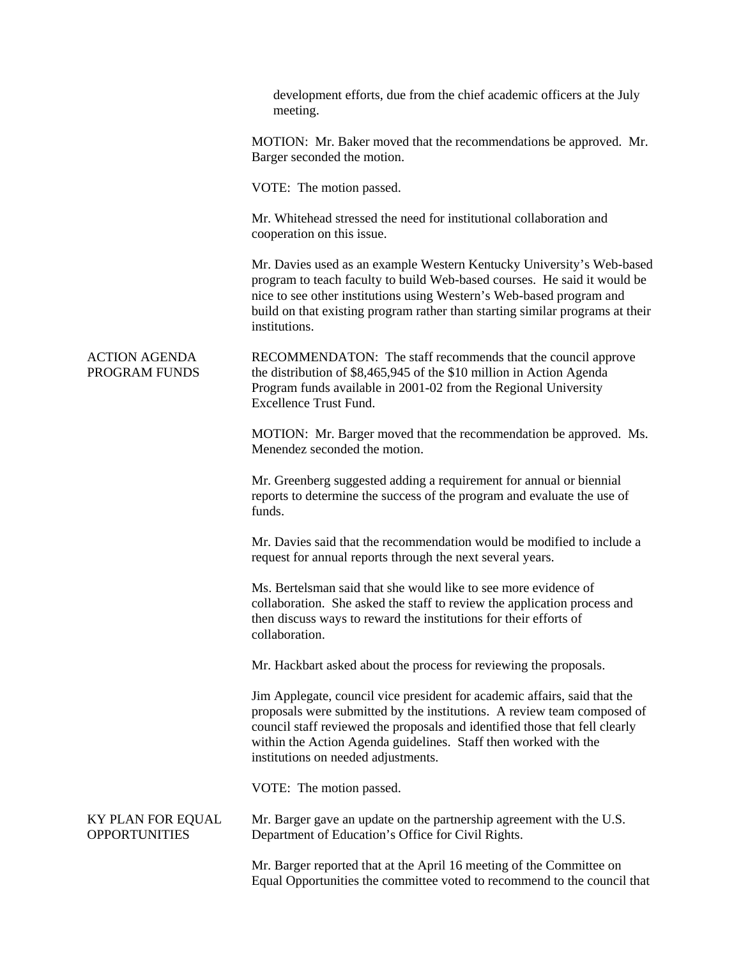|                                           | development efforts, due from the chief academic officers at the July<br>meeting.                                                                                                                                                                                                                                                             |
|-------------------------------------------|-----------------------------------------------------------------------------------------------------------------------------------------------------------------------------------------------------------------------------------------------------------------------------------------------------------------------------------------------|
|                                           | MOTION: Mr. Baker moved that the recommendations be approved. Mr.<br>Barger seconded the motion.                                                                                                                                                                                                                                              |
|                                           | VOTE: The motion passed.                                                                                                                                                                                                                                                                                                                      |
|                                           | Mr. Whitehead stressed the need for institutional collaboration and<br>cooperation on this issue.                                                                                                                                                                                                                                             |
|                                           | Mr. Davies used as an example Western Kentucky University's Web-based<br>program to teach faculty to build Web-based courses. He said it would be<br>nice to see other institutions using Western's Web-based program and<br>build on that existing program rather than starting similar programs at their<br>institutions.                   |
| <b>ACTION AGENDA</b><br>PROGRAM FUNDS     | RECOMMENDATON: The staff recommends that the council approve<br>the distribution of \$8,465,945 of the \$10 million in Action Agenda<br>Program funds available in 2001-02 from the Regional University<br><b>Excellence Trust Fund.</b>                                                                                                      |
|                                           | MOTION: Mr. Barger moved that the recommendation be approved. Ms.<br>Menendez seconded the motion.                                                                                                                                                                                                                                            |
|                                           | Mr. Greenberg suggested adding a requirement for annual or biennial<br>reports to determine the success of the program and evaluate the use of<br>funds.                                                                                                                                                                                      |
|                                           | Mr. Davies said that the recommendation would be modified to include a<br>request for annual reports through the next several years.                                                                                                                                                                                                          |
|                                           | Ms. Bertelsman said that she would like to see more evidence of<br>collaboration. She asked the staff to review the application process and<br>then discuss ways to reward the institutions for their efforts of<br>collaboration.                                                                                                            |
|                                           | Mr. Hackbart asked about the process for reviewing the proposals.                                                                                                                                                                                                                                                                             |
|                                           | Jim Applegate, council vice president for academic affairs, said that the<br>proposals were submitted by the institutions. A review team composed of<br>council staff reviewed the proposals and identified those that fell clearly<br>within the Action Agenda guidelines. Staff then worked with the<br>institutions on needed adjustments. |
|                                           | VOTE: The motion passed.                                                                                                                                                                                                                                                                                                                      |
| KY PLAN FOR EQUAL<br><b>OPPORTUNITIES</b> | Mr. Barger gave an update on the partnership agreement with the U.S.<br>Department of Education's Office for Civil Rights.                                                                                                                                                                                                                    |
|                                           | Mr. Barger reported that at the April 16 meeting of the Committee on<br>Equal Opportunities the committee voted to recommend to the council that                                                                                                                                                                                              |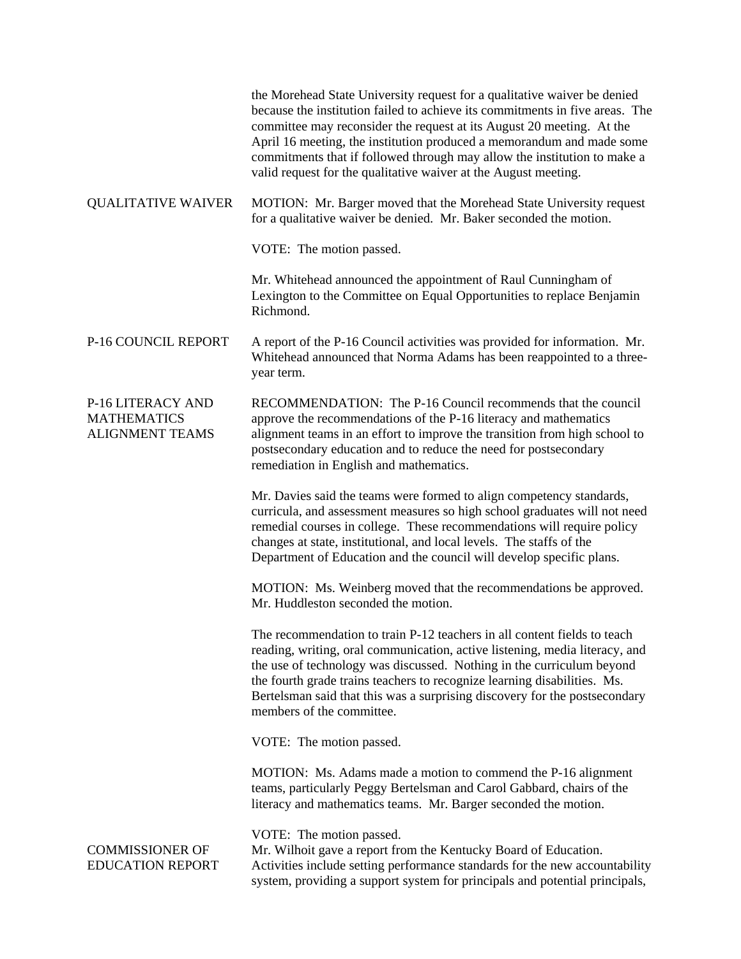|                                                                   | the Morehead State University request for a qualitative waiver be denied<br>because the institution failed to achieve its commitments in five areas. The<br>committee may reconsider the request at its August 20 meeting. At the<br>April 16 meeting, the institution produced a memorandum and made some<br>commitments that if followed through may allow the institution to make a<br>valid request for the qualitative waiver at the August meeting. |
|-------------------------------------------------------------------|-----------------------------------------------------------------------------------------------------------------------------------------------------------------------------------------------------------------------------------------------------------------------------------------------------------------------------------------------------------------------------------------------------------------------------------------------------------|
| <b>QUALITATIVE WAIVER</b>                                         | MOTION: Mr. Barger moved that the Morehead State University request<br>for a qualitative waiver be denied. Mr. Baker seconded the motion.                                                                                                                                                                                                                                                                                                                 |
|                                                                   | VOTE: The motion passed.                                                                                                                                                                                                                                                                                                                                                                                                                                  |
|                                                                   | Mr. Whitehead announced the appointment of Raul Cunningham of<br>Lexington to the Committee on Equal Opportunities to replace Benjamin<br>Richmond.                                                                                                                                                                                                                                                                                                       |
| P-16 COUNCIL REPORT                                               | A report of the P-16 Council activities was provided for information. Mr.<br>Whitehead announced that Norma Adams has been reappointed to a three-<br>year term.                                                                                                                                                                                                                                                                                          |
| P-16 LITERACY AND<br><b>MATHEMATICS</b><br><b>ALIGNMENT TEAMS</b> | RECOMMENDATION: The P-16 Council recommends that the council<br>approve the recommendations of the P-16 literacy and mathematics<br>alignment teams in an effort to improve the transition from high school to<br>postsecondary education and to reduce the need for postsecondary<br>remediation in English and mathematics.                                                                                                                             |
|                                                                   | Mr. Davies said the teams were formed to align competency standards,<br>curricula, and assessment measures so high school graduates will not need<br>remedial courses in college. These recommendations will require policy<br>changes at state, institutional, and local levels. The staffs of the<br>Department of Education and the council will develop specific plans.                                                                               |
|                                                                   | MOTION: Ms. Weinberg moved that the recommendations be approved.<br>Mr. Huddleston seconded the motion.                                                                                                                                                                                                                                                                                                                                                   |
|                                                                   | The recommendation to train P-12 teachers in all content fields to teach<br>reading, writing, oral communication, active listening, media literacy, and<br>the use of technology was discussed. Nothing in the curriculum beyond<br>the fourth grade trains teachers to recognize learning disabilities. Ms.<br>Bertelsman said that this was a surprising discovery for the postsecondary<br>members of the committee.                                   |
|                                                                   | VOTE: The motion passed.                                                                                                                                                                                                                                                                                                                                                                                                                                  |
|                                                                   | MOTION: Ms. Adams made a motion to commend the P-16 alignment<br>teams, particularly Peggy Bertelsman and Carol Gabbard, chairs of the<br>literacy and mathematics teams. Mr. Barger seconded the motion.                                                                                                                                                                                                                                                 |
| <b>COMMISSIONER OF</b><br><b>EDUCATION REPORT</b>                 | VOTE: The motion passed.<br>Mr. Wilhoit gave a report from the Kentucky Board of Education.<br>Activities include setting performance standards for the new accountability<br>system, providing a support system for principals and potential principals,                                                                                                                                                                                                 |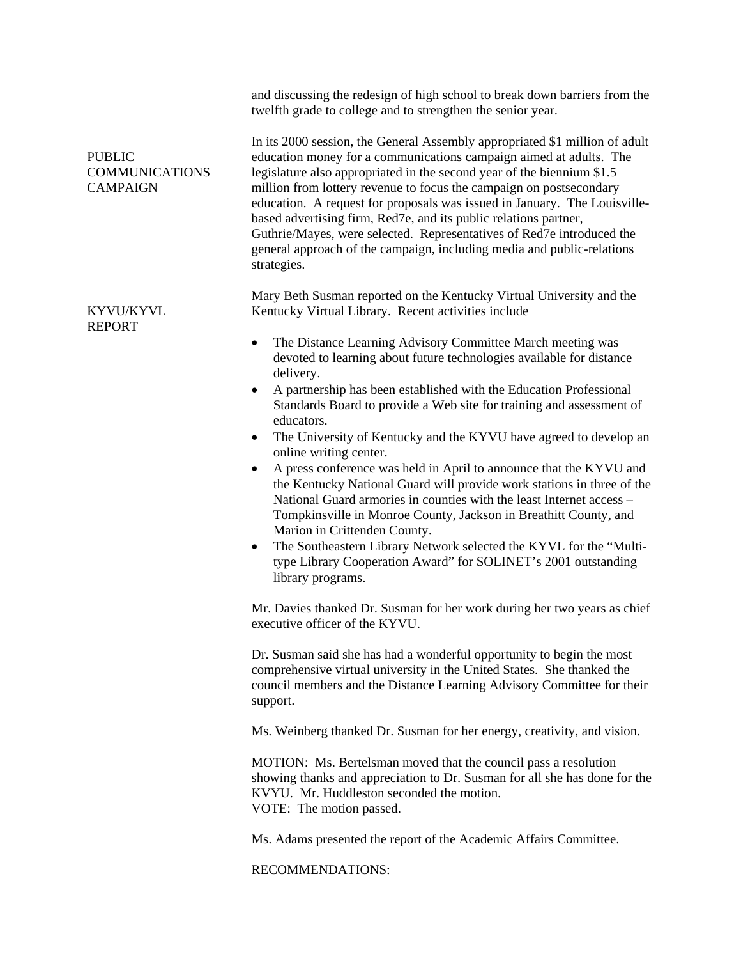|                                                           | and discussing the redesign of high school to break down barriers from the<br>twelfth grade to college and to strengthen the senior year.                                                                                                                                                                                                                                                                                                                                                                                                                                                                             |
|-----------------------------------------------------------|-----------------------------------------------------------------------------------------------------------------------------------------------------------------------------------------------------------------------------------------------------------------------------------------------------------------------------------------------------------------------------------------------------------------------------------------------------------------------------------------------------------------------------------------------------------------------------------------------------------------------|
| <b>PUBLIC</b><br><b>COMMUNICATIONS</b><br><b>CAMPAIGN</b> | In its 2000 session, the General Assembly appropriated \$1 million of adult<br>education money for a communications campaign aimed at adults. The<br>legislature also appropriated in the second year of the biennium \$1.5<br>million from lottery revenue to focus the campaign on postsecondary<br>education. A request for proposals was issued in January. The Louisville-<br>based advertising firm, Red7e, and its public relations partner,<br>Guthrie/Mayes, were selected. Representatives of Red7e introduced the<br>general approach of the campaign, including media and public-relations<br>strategies. |
| KYVU/KYVL<br><b>REPORT</b>                                | Mary Beth Susman reported on the Kentucky Virtual University and the<br>Kentucky Virtual Library. Recent activities include                                                                                                                                                                                                                                                                                                                                                                                                                                                                                           |
|                                                           | The Distance Learning Advisory Committee March meeting was<br>٠<br>devoted to learning about future technologies available for distance<br>delivery.<br>A partnership has been established with the Education Professional<br>$\bullet$                                                                                                                                                                                                                                                                                                                                                                               |
|                                                           | Standards Board to provide a Web site for training and assessment of<br>educators.                                                                                                                                                                                                                                                                                                                                                                                                                                                                                                                                    |
|                                                           | The University of Kentucky and the KYVU have agreed to develop an<br>٠<br>online writing center.                                                                                                                                                                                                                                                                                                                                                                                                                                                                                                                      |
|                                                           | A press conference was held in April to announce that the KYVU and<br>$\bullet$<br>the Kentucky National Guard will provide work stations in three of the<br>National Guard armories in counties with the least Internet access -<br>Tompkinsville in Monroe County, Jackson in Breathitt County, and<br>Marion in Crittenden County.                                                                                                                                                                                                                                                                                 |
|                                                           | The Southeastern Library Network selected the KYVL for the "Multi-<br>٠<br>type Library Cooperation Award" for SOLINET's 2001 outstanding<br>library programs.                                                                                                                                                                                                                                                                                                                                                                                                                                                        |
|                                                           | Mr. Davies thanked Dr. Susman for her work during her two years as chief<br>executive officer of the KYVU.                                                                                                                                                                                                                                                                                                                                                                                                                                                                                                            |
|                                                           | Dr. Susman said she has had a wonderful opportunity to begin the most<br>comprehensive virtual university in the United States. She thanked the<br>council members and the Distance Learning Advisory Committee for their<br>support.                                                                                                                                                                                                                                                                                                                                                                                 |
|                                                           | Ms. Weinberg thanked Dr. Susman for her energy, creativity, and vision.                                                                                                                                                                                                                                                                                                                                                                                                                                                                                                                                               |
|                                                           | MOTION: Ms. Bertelsman moved that the council pass a resolution<br>showing thanks and appreciation to Dr. Susman for all she has done for the<br>KVYU. Mr. Huddleston seconded the motion.<br>VOTE: The motion passed.                                                                                                                                                                                                                                                                                                                                                                                                |
|                                                           | Ms. Adams presented the report of the Academic Affairs Committee.                                                                                                                                                                                                                                                                                                                                                                                                                                                                                                                                                     |
|                                                           | RECOMMENDATIONS:                                                                                                                                                                                                                                                                                                                                                                                                                                                                                                                                                                                                      |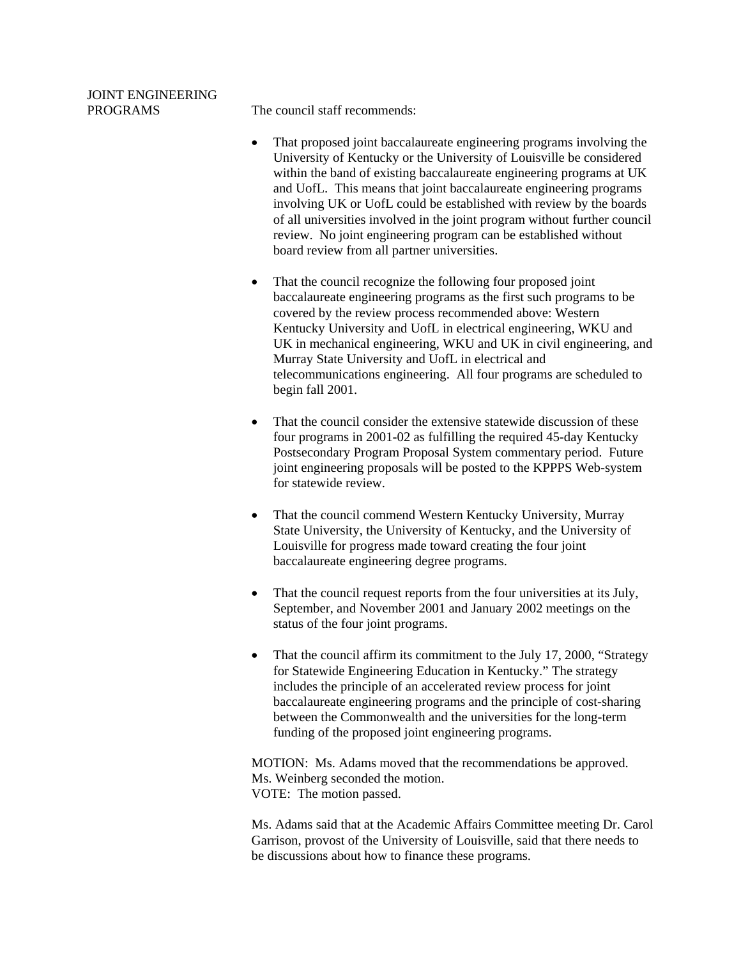## JOINT ENGINEERING

PROGRAMS The council staff recommends:

- That proposed joint baccalaureate engineering programs involving the University of Kentucky or the University of Louisville be considered within the band of existing baccalaureate engineering programs at UK and UofL. This means that joint baccalaureate engineering programs involving UK or UofL could be established with review by the boards of all universities involved in the joint program without further council review. No joint engineering program can be established without board review from all partner universities.
- That the council recognize the following four proposed joint baccalaureate engineering programs as the first such programs to be covered by the review process recommended above: Western Kentucky University and UofL in electrical engineering, WKU and UK in mechanical engineering, WKU and UK in civil engineering, and Murray State University and UofL in electrical and telecommunications engineering. All four programs are scheduled to begin fall 2001.
- That the council consider the extensive statewide discussion of these four programs in 2001-02 as fulfilling the required 45-day Kentucky Postsecondary Program Proposal System commentary period. Future joint engineering proposals will be posted to the KPPPS Web-system for statewide review.
- That the council commend Western Kentucky University, Murray State University, the University of Kentucky, and the University of Louisville for progress made toward creating the four joint baccalaureate engineering degree programs.
- That the council request reports from the four universities at its July, September, and November 2001 and January 2002 meetings on the status of the four joint programs.
- That the council affirm its commitment to the July 17, 2000, "Strategy for Statewide Engineering Education in Kentucky." The strategy includes the principle of an accelerated review process for joint baccalaureate engineering programs and the principle of cost-sharing between the Commonwealth and the universities for the long-term funding of the proposed joint engineering programs.

MOTION: Ms. Adams moved that the recommendations be approved. Ms. Weinberg seconded the motion. VOTE: The motion passed.

Ms. Adams said that at the Academic Affairs Committee meeting Dr. Carol Garrison, provost of the University of Louisville, said that there needs to be discussions about how to finance these programs.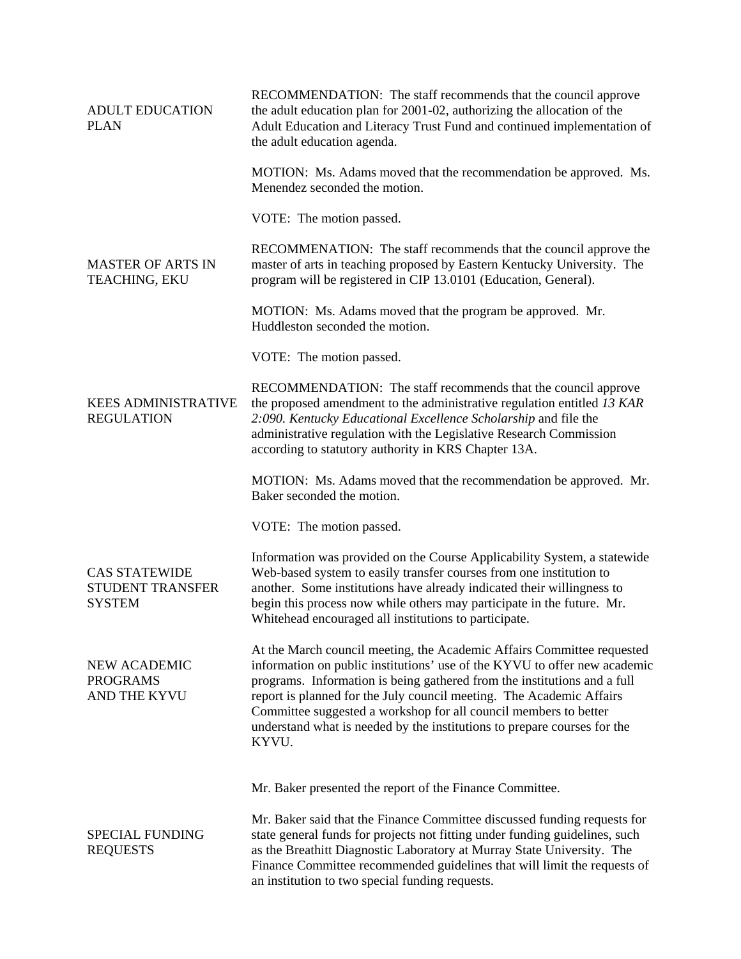| <b>ADULT EDUCATION</b><br><b>PLAN</b>                            | RECOMMENDATION: The staff recommends that the council approve<br>the adult education plan for 2001-02, authorizing the allocation of the<br>Adult Education and Literacy Trust Fund and continued implementation of<br>the adult education agenda.                                                                                                                                                                                                               |
|------------------------------------------------------------------|------------------------------------------------------------------------------------------------------------------------------------------------------------------------------------------------------------------------------------------------------------------------------------------------------------------------------------------------------------------------------------------------------------------------------------------------------------------|
|                                                                  | MOTION: Ms. Adams moved that the recommendation be approved. Ms.<br>Menendez seconded the motion.                                                                                                                                                                                                                                                                                                                                                                |
|                                                                  | VOTE: The motion passed.                                                                                                                                                                                                                                                                                                                                                                                                                                         |
| <b>MASTER OF ARTS IN</b><br>TEACHING, EKU                        | RECOMMENATION: The staff recommends that the council approve the<br>master of arts in teaching proposed by Eastern Kentucky University. The<br>program will be registered in CIP 13.0101 (Education, General).                                                                                                                                                                                                                                                   |
|                                                                  | MOTION: Ms. Adams moved that the program be approved. Mr.<br>Huddleston seconded the motion.                                                                                                                                                                                                                                                                                                                                                                     |
|                                                                  | VOTE: The motion passed.                                                                                                                                                                                                                                                                                                                                                                                                                                         |
| <b>KEES ADMINISTRATIVE</b><br><b>REGULATION</b>                  | RECOMMENDATION: The staff recommends that the council approve<br>the proposed amendment to the administrative regulation entitled 13 KAR<br>2:090. Kentucky Educational Excellence Scholarship and file the<br>administrative regulation with the Legislative Research Commission<br>according to statutory authority in KRS Chapter 13A.                                                                                                                        |
|                                                                  | MOTION: Ms. Adams moved that the recommendation be approved. Mr.<br>Baker seconded the motion.                                                                                                                                                                                                                                                                                                                                                                   |
|                                                                  | VOTE: The motion passed.                                                                                                                                                                                                                                                                                                                                                                                                                                         |
| <b>CAS STATEWIDE</b><br><b>STUDENT TRANSFER</b><br><b>SYSTEM</b> | Information was provided on the Course Applicability System, a statewide<br>Web-based system to easily transfer courses from one institution to<br>another. Some institutions have already indicated their willingness to<br>begin this process now while others may participate in the future. Mr.<br>Whitehead encouraged all institutions to participate.                                                                                                     |
| NEW ACADEMIC<br><b>PROGRAMS</b><br>AND THE KYVU                  | At the March council meeting, the Academic Affairs Committee requested<br>information on public institutions' use of the KYVU to offer new academic<br>programs. Information is being gathered from the institutions and a full<br>report is planned for the July council meeting. The Academic Affairs<br>Committee suggested a workshop for all council members to better<br>understand what is needed by the institutions to prepare courses for the<br>KYVU. |
|                                                                  | Mr. Baker presented the report of the Finance Committee.                                                                                                                                                                                                                                                                                                                                                                                                         |
| <b>SPECIAL FUNDING</b><br><b>REQUESTS</b>                        | Mr. Baker said that the Finance Committee discussed funding requests for<br>state general funds for projects not fitting under funding guidelines, such<br>as the Breathitt Diagnostic Laboratory at Murray State University. The<br>Finance Committee recommended guidelines that will limit the requests of<br>an institution to two special funding requests.                                                                                                 |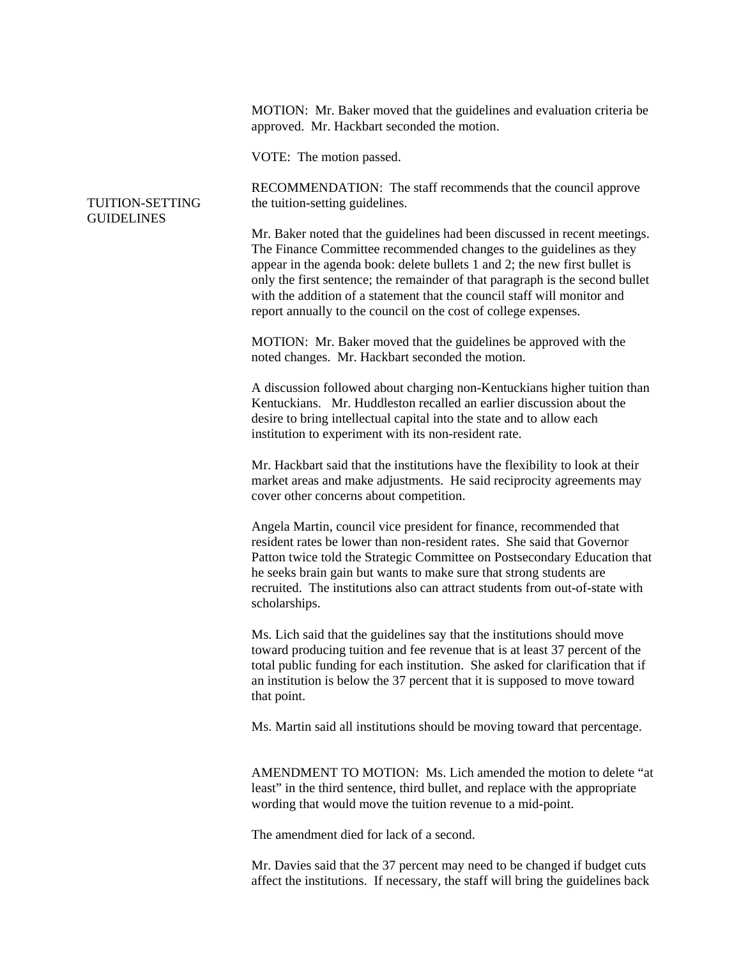MOTION: Mr. Baker moved that the guidelines and evaluation criteria be approved. Mr. Hackbart seconded the motion.

VOTE: The motion passed.

## TUITION-SETTING GUIDELINES

RECOMMENDATION: The staff recommends that the council approve the tuition-setting guidelines.

Mr. Baker noted that the guidelines had been discussed in recent meetings. The Finance Committee recommended changes to the guidelines as they appear in the agenda book: delete bullets 1 and 2; the new first bullet is only the first sentence; the remainder of that paragraph is the second bullet with the addition of a statement that the council staff will monitor and report annually to the council on the cost of college expenses.

MOTION: Mr. Baker moved that the guidelines be approved with the noted changes. Mr. Hackbart seconded the motion.

A discussion followed about charging non-Kentuckians higher tuition than Kentuckians. Mr. Huddleston recalled an earlier discussion about the desire to bring intellectual capital into the state and to allow each institution to experiment with its non-resident rate.

Mr. Hackbart said that the institutions have the flexibility to look at their market areas and make adjustments. He said reciprocity agreements may cover other concerns about competition.

Angela Martin, council vice president for finance, recommended that resident rates be lower than non-resident rates. She said that Governor Patton twice told the Strategic Committee on Postsecondary Education that he seeks brain gain but wants to make sure that strong students are recruited. The institutions also can attract students from out-of-state with scholarships.

Ms. Lich said that the guidelines say that the institutions should move toward producing tuition and fee revenue that is at least 37 percent of the total public funding for each institution. She asked for clarification that if an institution is below the 37 percent that it is supposed to move toward that point.

Ms. Martin said all institutions should be moving toward that percentage.

AMENDMENT TO MOTION: Ms. Lich amended the motion to delete "at least" in the third sentence, third bullet, and replace with the appropriate wording that would move the tuition revenue to a mid-point.

The amendment died for lack of a second.

Mr. Davies said that the 37 percent may need to be changed if budget cuts affect the institutions. If necessary, the staff will bring the guidelines back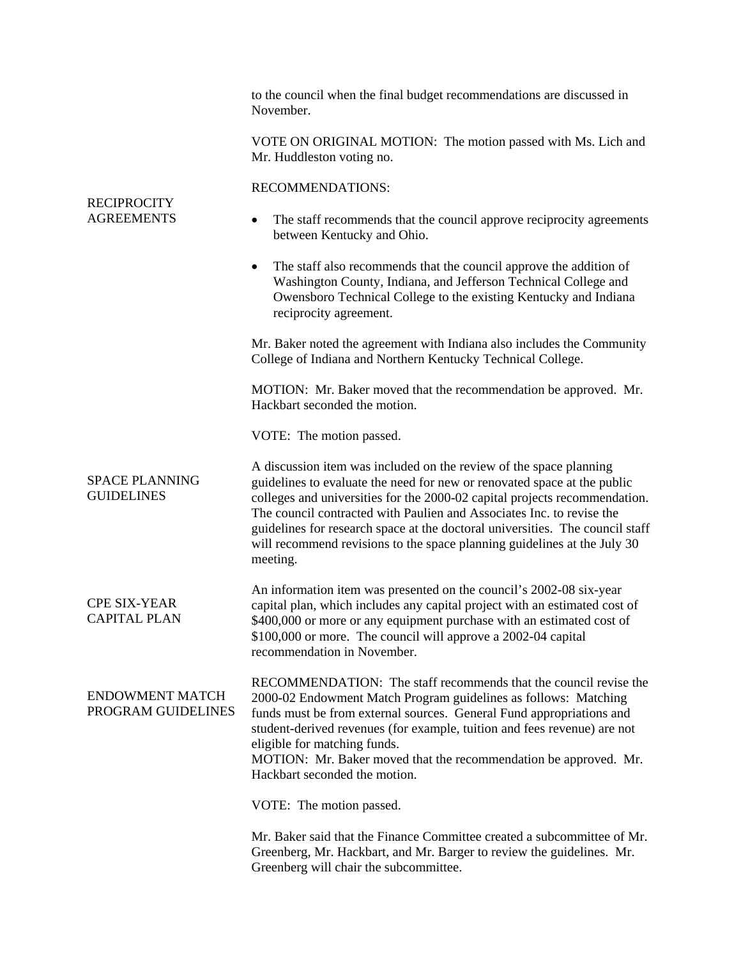| <b>RECIPROCITY</b><br><b>AGREEMENTS</b>      | to the council when the final budget recommendations are discussed in<br>November.                                                                                                                                                                                                                                                                                                                                                                                             |
|----------------------------------------------|--------------------------------------------------------------------------------------------------------------------------------------------------------------------------------------------------------------------------------------------------------------------------------------------------------------------------------------------------------------------------------------------------------------------------------------------------------------------------------|
|                                              | VOTE ON ORIGINAL MOTION: The motion passed with Ms. Lich and<br>Mr. Huddleston voting no.                                                                                                                                                                                                                                                                                                                                                                                      |
|                                              | RECOMMENDATIONS:                                                                                                                                                                                                                                                                                                                                                                                                                                                               |
|                                              | The staff recommends that the council approve reciprocity agreements<br>٠<br>between Kentucky and Ohio.                                                                                                                                                                                                                                                                                                                                                                        |
|                                              | The staff also recommends that the council approve the addition of<br>٠<br>Washington County, Indiana, and Jefferson Technical College and<br>Owensboro Technical College to the existing Kentucky and Indiana<br>reciprocity agreement.                                                                                                                                                                                                                                       |
|                                              | Mr. Baker noted the agreement with Indiana also includes the Community<br>College of Indiana and Northern Kentucky Technical College.                                                                                                                                                                                                                                                                                                                                          |
|                                              | MOTION: Mr. Baker moved that the recommendation be approved. Mr.<br>Hackbart seconded the motion.                                                                                                                                                                                                                                                                                                                                                                              |
|                                              | VOTE: The motion passed.                                                                                                                                                                                                                                                                                                                                                                                                                                                       |
| <b>SPACE PLANNING</b><br><b>GUIDELINES</b>   | A discussion item was included on the review of the space planning<br>guidelines to evaluate the need for new or renovated space at the public<br>colleges and universities for the 2000-02 capital projects recommendation.<br>The council contracted with Paulien and Associates Inc. to revise the<br>guidelines for research space at the doctoral universities. The council staff<br>will recommend revisions to the space planning guidelines at the July 30<br>meeting. |
| <b>CPE SIX-YEAR</b><br><b>CAPITAL PLAN</b>   | An information item was presented on the council's 2002-08 six-year<br>capital plan, which includes any capital project with an estimated cost of<br>\$400,000 or more or any equipment purchase with an estimated cost of<br>\$100,000 or more. The council will approve a 2002-04 capital<br>recommendation in November.                                                                                                                                                     |
| <b>ENDOWMENT MATCH</b><br>PROGRAM GUIDELINES | RECOMMENDATION: The staff recommends that the council revise the<br>2000-02 Endowment Match Program guidelines as follows: Matching<br>funds must be from external sources. General Fund appropriations and<br>student-derived revenues (for example, tuition and fees revenue) are not<br>eligible for matching funds.<br>MOTION: Mr. Baker moved that the recommendation be approved. Mr.<br>Hackbart seconded the motion.                                                   |
|                                              | VOTE: The motion passed.                                                                                                                                                                                                                                                                                                                                                                                                                                                       |
|                                              | Mr. Baker said that the Finance Committee created a subcommittee of Mr.<br>Greenberg, Mr. Hackbart, and Mr. Barger to review the guidelines. Mr.<br>Greenberg will chair the subcommittee.                                                                                                                                                                                                                                                                                     |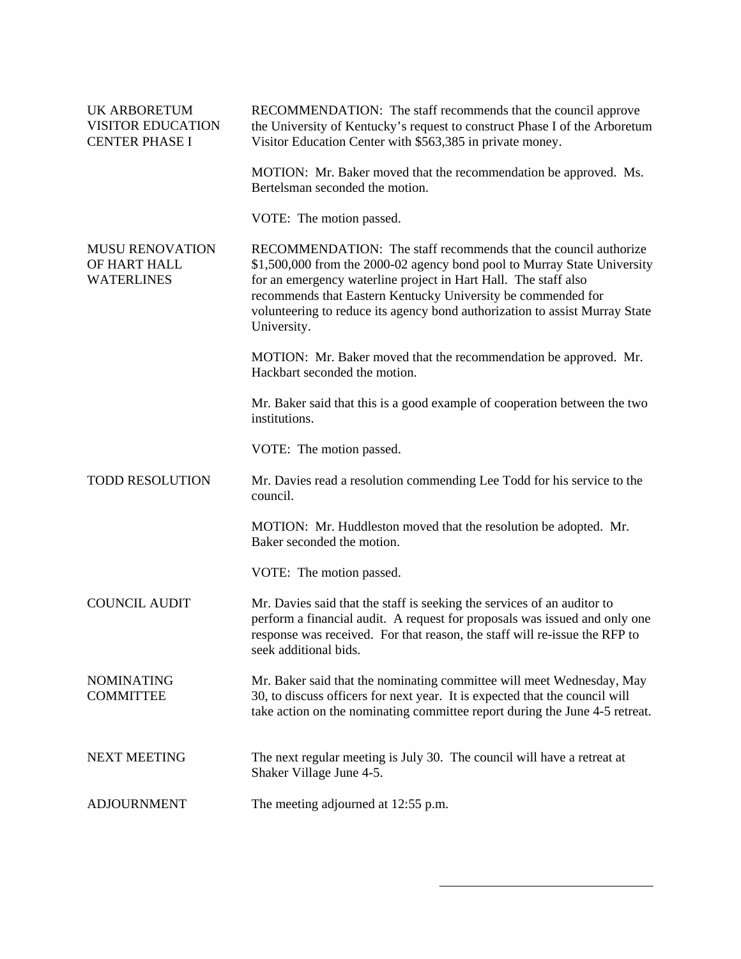| <b>UK ARBORETUM</b><br><b>VISITOR EDUCATION</b><br><b>CENTER PHASE I</b> | RECOMMENDATION: The staff recommends that the council approve<br>the University of Kentucky's request to construct Phase I of the Arboretum<br>Visitor Education Center with \$563,385 in private money.                                                                                                                                                                     |
|--------------------------------------------------------------------------|------------------------------------------------------------------------------------------------------------------------------------------------------------------------------------------------------------------------------------------------------------------------------------------------------------------------------------------------------------------------------|
|                                                                          | MOTION: Mr. Baker moved that the recommendation be approved. Ms.<br>Bertelsman seconded the motion.                                                                                                                                                                                                                                                                          |
|                                                                          | VOTE: The motion passed.                                                                                                                                                                                                                                                                                                                                                     |
| <b>MUSU RENOVATION</b><br>OF HART HALL<br><b>WATERLINES</b>              | RECOMMENDATION: The staff recommends that the council authorize<br>\$1,500,000 from the 2000-02 agency bond pool to Murray State University<br>for an emergency waterline project in Hart Hall. The staff also<br>recommends that Eastern Kentucky University be commended for<br>volunteering to reduce its agency bond authorization to assist Murray State<br>University. |
|                                                                          | MOTION: Mr. Baker moved that the recommendation be approved. Mr.<br>Hackbart seconded the motion.                                                                                                                                                                                                                                                                            |
|                                                                          | Mr. Baker said that this is a good example of cooperation between the two<br>institutions.                                                                                                                                                                                                                                                                                   |
|                                                                          | VOTE: The motion passed.                                                                                                                                                                                                                                                                                                                                                     |
| <b>TODD RESOLUTION</b>                                                   | Mr. Davies read a resolution commending Lee Todd for his service to the<br>council.                                                                                                                                                                                                                                                                                          |
|                                                                          | MOTION: Mr. Huddleston moved that the resolution be adopted. Mr.<br>Baker seconded the motion.                                                                                                                                                                                                                                                                               |
|                                                                          | VOTE: The motion passed.                                                                                                                                                                                                                                                                                                                                                     |
| <b>COUNCIL AUDIT</b>                                                     | Mr. Davies said that the staff is seeking the services of an auditor to<br>perform a financial audit. A request for proposals was issued and only one<br>response was received. For that reason, the staff will re-issue the RFP to<br>seek additional bids.                                                                                                                 |
| <b>NOMINATING</b><br><b>COMMITTEE</b>                                    | Mr. Baker said that the nominating committee will meet Wednesday, May<br>30, to discuss officers for next year. It is expected that the council will<br>take action on the nominating committee report during the June 4-5 retreat.                                                                                                                                          |
| <b>NEXT MEETING</b>                                                      | The next regular meeting is July 30. The council will have a retreat at<br>Shaker Village June 4-5.                                                                                                                                                                                                                                                                          |
| <b>ADJOURNMENT</b>                                                       | The meeting adjourned at 12:55 p.m.                                                                                                                                                                                                                                                                                                                                          |

\_\_\_\_\_\_\_\_\_\_\_\_\_\_\_\_\_\_\_\_\_\_\_\_\_\_\_\_\_\_\_\_